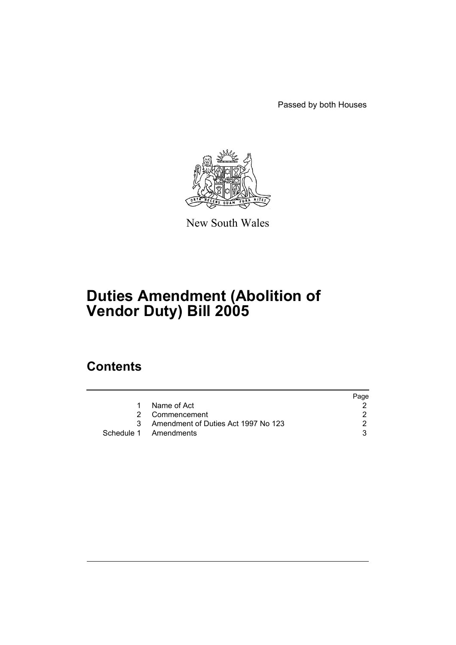Passed by both Houses



New South Wales

# **Duties Amendment (Abolition of Vendor Duty) Bill 2005**

## **Contents**

|                                       | Page |
|---------------------------------------|------|
| Name of Act                           |      |
| 2 Commencement                        |      |
| 3 Amendment of Duties Act 1997 No 123 |      |
| Schedule 1 Amendments                 |      |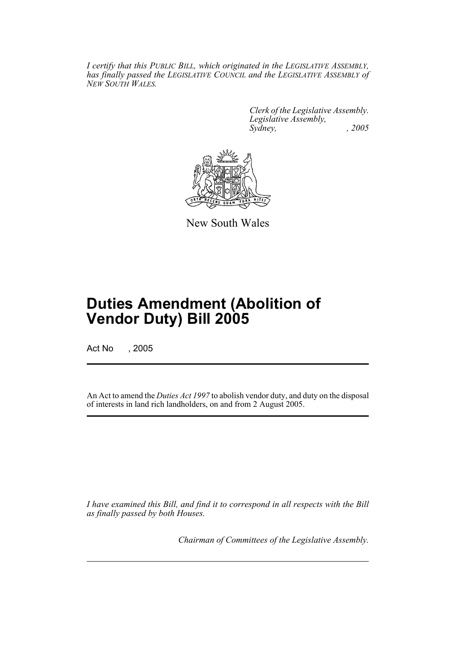*I certify that this PUBLIC BILL, which originated in the LEGISLATIVE ASSEMBLY, has finally passed the LEGISLATIVE COUNCIL and the LEGISLATIVE ASSEMBLY of NEW SOUTH WALES.*

> *Clerk of the Legislative Assembly. Legislative Assembly, Sydney, , 2005*



New South Wales

## **Duties Amendment (Abolition of Vendor Duty) Bill 2005**

Act No , 2005

An Act to amend the *Duties Act 1997* to abolish vendor duty, and duty on the disposal of interests in land rich landholders, on and from 2 August 2005.

*I have examined this Bill, and find it to correspond in all respects with the Bill as finally passed by both Houses.*

*Chairman of Committees of the Legislative Assembly.*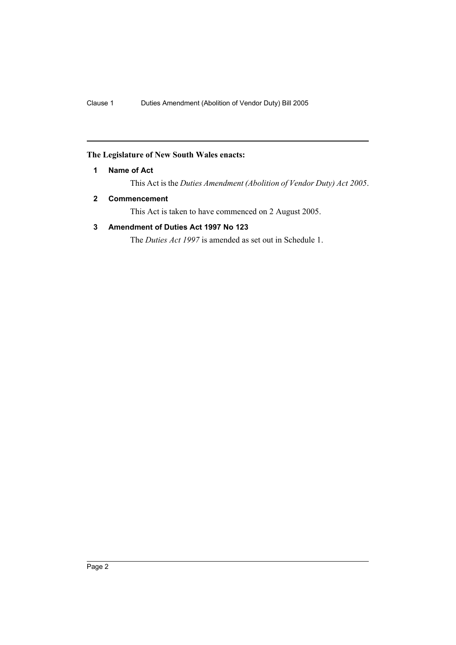#### **The Legislature of New South Wales enacts:**

#### **1 Name of Act**

This Act is the *Duties Amendment (Abolition of Vendor Duty) Act 2005*.

#### **2 Commencement**

This Act is taken to have commenced on 2 August 2005.

#### **3 Amendment of Duties Act 1997 No 123**

The *Duties Act 1997* is amended as set out in Schedule 1.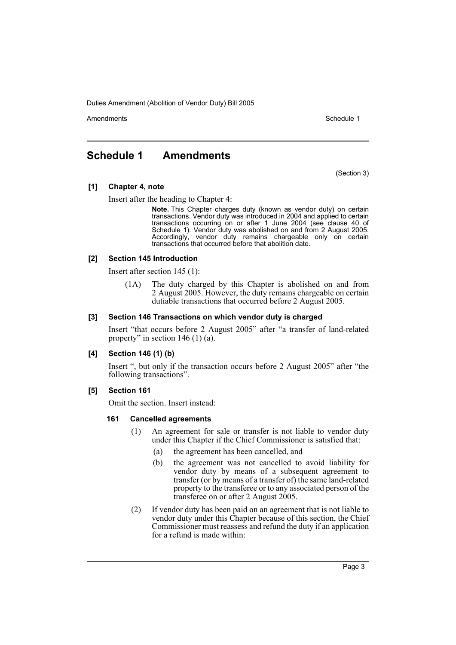Duties Amendment (Abolition of Vendor Duty) Bill 2005

Amendments **Amendments** Schedule 1

### **Schedule 1 Amendments**

(Section 3)

#### **[1] Chapter 4, note**

Insert after the heading to Chapter 4:

**Note.** This Chapter charges duty (known as vendor duty) on certain transactions. Vendor duty was introduced in 2004 and applied to certain transactions occurring on or after 1 June 2004 (see clause 40 of Schedule 1). Vendor duty was abolished on and from 2 August 2005. Accordingly, vendor duty remains chargeable only on certain transactions that occurred before that abolition date.

#### **[2] Section 145 Introduction**

Insert after section 145 (1):

(1A) The duty charged by this Chapter is abolished on and from 2 August 2005. However, the duty remains chargeable on certain dutiable transactions that occurred before 2 August 2005.

#### **[3] Section 146 Transactions on which vendor duty is charged**

Insert "that occurs before 2 August 2005" after "a transfer of land-related property" in section  $146(1)(a)$ .

#### **[4] Section 146 (1) (b)**

Insert ", but only if the transaction occurs before 2 August 2005" after "the following transactions".

#### **[5] Section 161**

Omit the section. Insert instead:

#### **161 Cancelled agreements**

- (1) An agreement for sale or transfer is not liable to vendor duty under this Chapter if the Chief Commissioner is satisfied that:
	- (a) the agreement has been cancelled, and
	- (b) the agreement was not cancelled to avoid liability for vendor duty by means of a subsequent agreement to transfer (or by means of a transfer of) the same land-related property to the transferee or to any associated person of the transferee on or after 2 August 2005.
- (2) If vendor duty has been paid on an agreement that is not liable to vendor duty under this Chapter because of this section, the Chief Commissioner must reassess and refund the duty if an application for a refund is made within: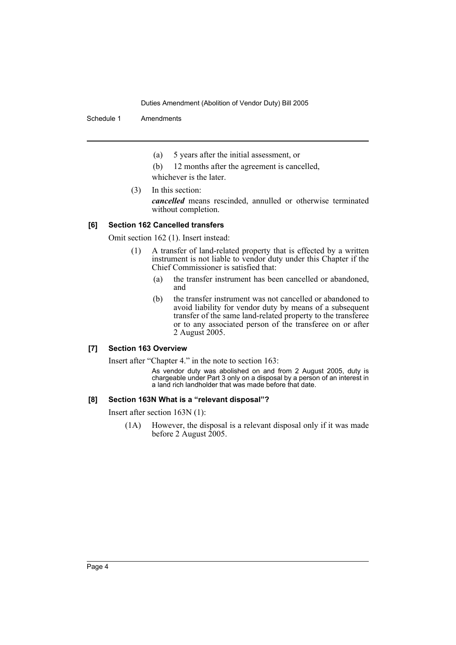Duties Amendment (Abolition of Vendor Duty) Bill 2005

Schedule 1 Amendments

- (a) 5 years after the initial assessment, or
- (b) 12 months after the agreement is cancelled,
- whichever is the later.
- (3) In this section: *cancelled* means rescinded, annulled or otherwise terminated without completion.

#### **[6] Section 162 Cancelled transfers**

Omit section 162 (1). Insert instead:

- (1) A transfer of land-related property that is effected by a written instrument is not liable to vendor duty under this Chapter if the Chief Commissioner is satisfied that:
	- (a) the transfer instrument has been cancelled or abandoned, and
	- (b) the transfer instrument was not cancelled or abandoned to avoid liability for vendor duty by means of a subsequent transfer of the same land-related property to the transferee or to any associated person of the transferee on or after 2 August 2005.

#### **[7] Section 163 Overview**

Insert after "Chapter 4." in the note to section 163:

As vendor duty was abolished on and from 2 August 2005, duty is chargeable under Part 3 only on a disposal by a person of an interest in a land rich landholder that was made before that date.

#### **[8] Section 163N What is a "relevant disposal"?**

Insert after section 163N (1):

(1A) However, the disposal is a relevant disposal only if it was made before 2 August 2005.